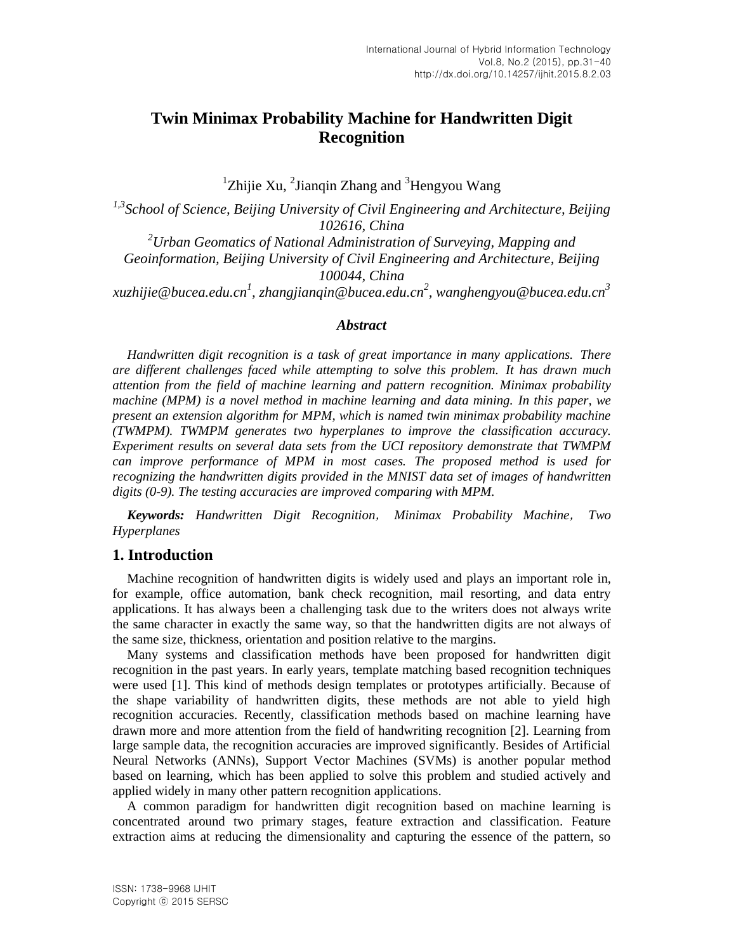# **Twin Minimax Probability Machine for Handwritten Digit Recognition**

 ${}^{1}$ Zhijie Xu, <sup>2</sup>Jianqin Zhang and <sup>3</sup>Hengyou Wang

*1,3School of Science, Beijing University of Civil Engineering and Architecture, Beijing 102616, China <sup>2</sup>Urban Geomatics of National Administration of Surveying, Mapping and Geoinformation, Beijing University of Civil Engineering and Architecture, Beijing 100044, China [xuzhijie@bucea.edu.cn](mailto:xuzhijie@bucea.edu.cn)<sup>1</sup> , zhangjianqin@bucea.edu.cn<sup>2</sup> , wanghengyou@bucea.edu.cn<sup>3</sup>*

### *Abstract*

*Handwritten digit recognition is a task of great importance in many applications. There are different challenges faced while attempting to solve this problem. It has drawn much attention from the field of machine learning and pattern recognition. Minimax probability machine (MPM) is a novel method in machine learning and data mining. In this paper, we present an extension algorithm for MPM, which is named twin minimax probability machine (TWMPM). TWMPM generates two hyperplanes to improve the classification accuracy. Experiment results on several data sets from the UCI repository demonstrate that TWMPM can improve performance of MPM in most cases. The proposed method is used for recognizing the handwritten digits provided in the MNIST data set of images of handwritten digits (0-9). The testing accuracies are improved comparing with MPM.*

*Keywords: Handwritten Digit Recognition*, *Minimax Probability Machine*, *Two Hyperplanes*

### **1. Introduction**

Machine recognition of handwritten digits is widely used and plays an important role in, for example, office automation, bank check recognition, mail resorting, and data entry applications. It has always been a challenging task due to the writers does not always write the same character in exactly the same way, so that the handwritten digits are not always of the same size, thickness, orientation and position relative to the margins.

Many systems and classification methods have been proposed for handwritten digit recognition in the past years. In early years, template matching based recognition techniques were used [1]. This kind of methods design templates or prototypes artificially. Because of the shape variability of handwritten digits, these methods are not able to yield high recognition accuracies. Recently, classification methods based on machine learning have drawn more and more attention from the field of handwriting recognition [2]. Learning from large sample data, the recognition accuracies are improved significantly. Besides of Artificial Neural Networks (ANNs), Support Vector Machines (SVMs) is another popular method based on learning, which has been applied to solve this problem and studied actively and applied widely in many other pattern recognition applications.

A common paradigm for handwritten digit recognition based on machine learning is concentrated around two primary stages, feature extraction and classification. Feature extraction aims at reducing the dimensionality and capturing the essence of the pattern, so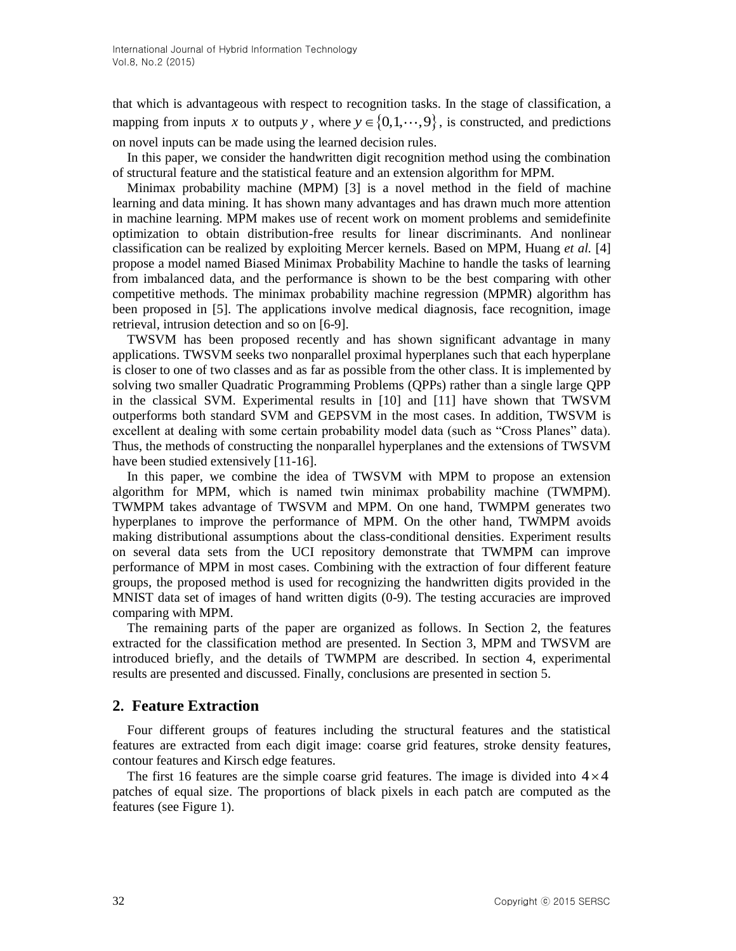that which is advantageous with respect to recognition tasks. In the stage of classification, a mapping from inputs x to outputs y, where  $y \in \{0, 1, \dots, 9\}$ , is constructed, and predictions on novel inputs can be made using the learned decision rules.

In this paper, we consider the handwritten digit recognition method using the combination of structural feature and the statistical feature and an extension algorithm for MPM.

Minimax probability machine (MPM) [3] is a novel method in the field of machine learning and data mining. It has shown many advantages and has drawn much more attention in machine learning. MPM makes use of recent work on moment problems and semidefinite optimization to obtain distribution-free results for linear discriminants. And nonlinear classification can be realized by exploiting Mercer kernels. Based on MPM, Huang *et al.* [4] propose a model named Biased Minimax Probability Machine to handle the tasks of learning from imbalanced data, and the performance is shown to be the best comparing with other competitive methods. The minimax probability machine regression (MPMR) algorithm has been proposed in [5]. The applications involve medical diagnosis, face recognition, image retrieval, intrusion detection and so on [6-9].

TWSVM has been proposed recently and has shown significant advantage in many applications. TWSVM seeks two nonparallel proximal hyperplanes such that each hyperplane is closer to one of two classes and as far as possible from the other class. It is implemented by solving two smaller Quadratic Programming Problems (QPPs) rather than a single large QPP in the classical SVM. Experimental results in [10] and [11] have shown that TWSVM outperforms both standard SVM and GEPSVM in the most cases. In addition, TWSVM is excellent at dealing with some certain probability model data (such as "Cross Planes" data). Thus, the methods of constructing the nonparallel hyperplanes and the extensions of TWSVM have been studied extensively [11-16].

In this paper, we combine the idea of TWSVM with MPM to propose an extension algorithm for MPM, which is named twin minimax probability machine (TWMPM). TWMPM takes advantage of TWSVM and MPM. On one hand, TWMPM generates two hyperplanes to improve the performance of MPM. On the other hand, TWMPM avoids making distributional assumptions about the class-conditional densities. Experiment results on several data sets from the UCI repository demonstrate that TWMPM can improve performance of MPM in most cases. Combining with the extraction of four different feature groups, the proposed method is used for recognizing the handwritten digits provided in the MNIST data set of images of hand written digits (0-9). The testing accuracies are improved comparing with MPM.

The remaining parts of the paper are organized as follows. In Section 2, the features extracted for the classification method are presented. In Section 3, MPM and TWSVM are introduced briefly, and the details of TWMPM are described. In section 4, experimental results are presented and discussed. Finally, conclusions are presented in section 5.

### **2**. **Feature Extraction**

Four different groups of features including the structural features and the statistical features are extracted from each digit image: coarse grid features, stroke density features, contour features and Kirsch edge features.

The first 16 features are the simple coarse grid features. The image is divided into  $4 \times 4$ patches of equal size. The proportions of black pixels in each patch are computed as the features (see Figure 1).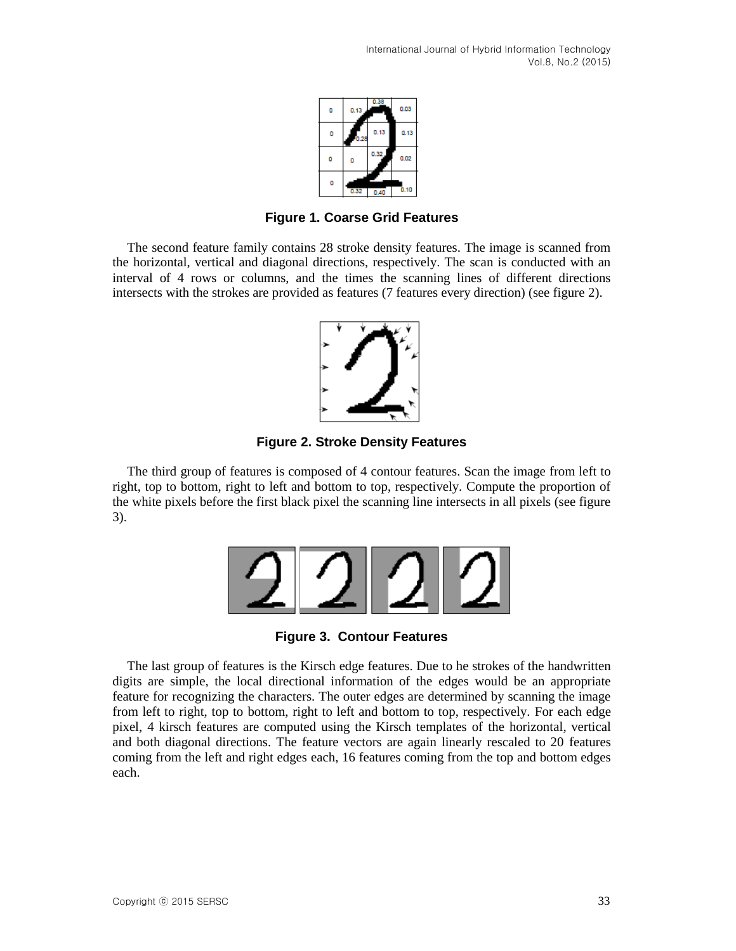

**Figure 1. Coarse Grid Features**

The second feature family contains 28 stroke density features. The image is scanned from the horizontal, vertical and diagonal directions, respectively. The scan is conducted with an interval of 4 rows or columns, and the times the scanning lines of different directions intersects with the strokes are provided as features (7 features every direction) (see figure 2).



**Figure 2. Stroke Density Features**

The third group of features is composed of 4 contour features. Scan the image from left to right, top to bottom, right to left and bottom to top, respectively. Compute the proportion of the white pixels before the first black pixel the scanning line intersects in all pixels (see figure 3).



**Figure 3. Contour Features**

The last group of features is the Kirsch edge features. Due to he strokes of the handwritten digits are simple, the local directional information of the edges would be an appropriate feature for recognizing the characters. The outer edges are determined by scanning the image from left to right, top to bottom, right to left and bottom to top, respectively. For each edge pixel, 4 kirsch features are computed using the Kirsch templates of the horizontal, vertical and both diagonal directions. The feature vectors are again linearly rescaled to 20 features coming from the left and right edges each, 16 features coming from the top and bottom edges each.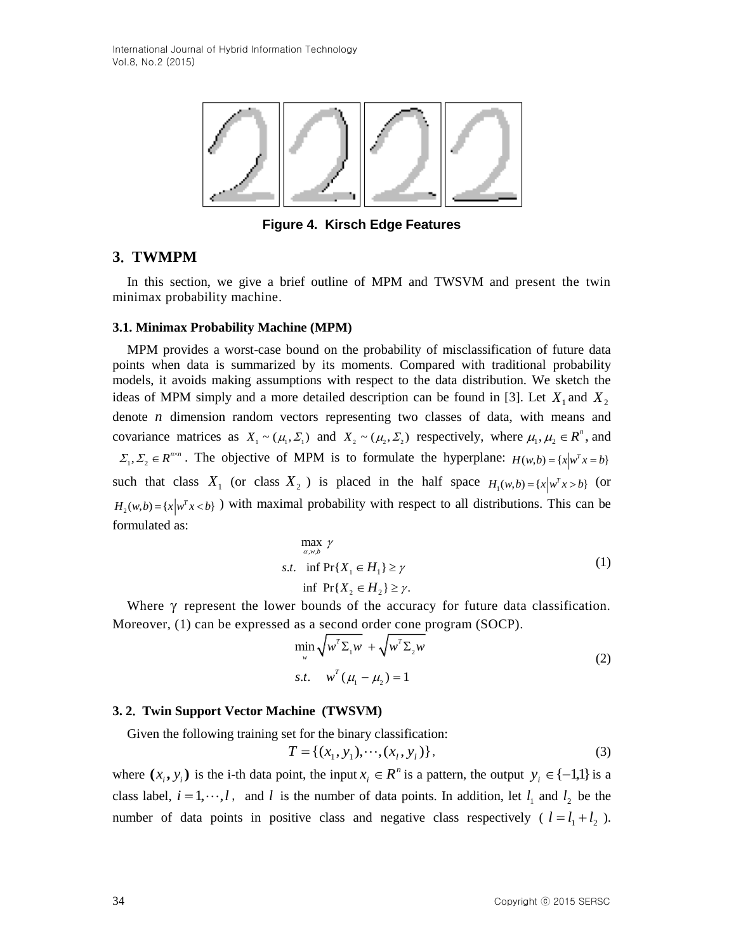

**Figure 4. Kirsch Edge Features**

## **3**. **TWMPM**

In this section, we give a brief outline of MPM and TWSVM and present the twin minimax probability machine.

#### **3.1. Minimax Probability Machine (MPM)**

MPM provides a worst-case bound on the probability of misclassification of future data points when data is summarized by its moments. Compared with traditional probability models, it avoids making assumptions with respect to the data distribution. We sketch the ideas of MPM simply and a more detailed description can be found in [3]. Let  $X_1$  and  $X_2$ denote *n* dimension random vectors representing two classes of data, with means and covariance matrices as  $X_1 \sim (\mu_1, \Sigma_1)$  and  $X_2 \sim (\mu_2, \Sigma_2)$  respectively, where  $\mu_1, \mu_2 \in \mathbb{R}^n$ , and  $\Sigma_1, \Sigma_2 \in R^{n \times n}$ . The objective of MPM is to formulate the hyperplane:  $H(w,b) = \{x \mid w^T x = b\}$ such that class  $X_1$  (or class  $X_2$ ) is placed in the half space  $H_1(w,b) = \{x \mid w^T x > b\}$  (or  $H_2(w,b) = \{x \mid w^T x < b\}$  with maximal probability with respect to all distributions. This can be formulated as:

$$
\max_{\alpha, w, b} \gamma
$$
  
s.t. 
$$
\inf \Pr\{X_1 \in H_1\} \ge \gamma
$$
  
if 
$$
\Pr\{X_2 \in H_2\} \ge \gamma.
$$
 (1)

Where  $\gamma$  represent the lower bounds of the accuracy for future data classification. Moreover, (1) can be expressed as a second order cone program (SOCP).

$$
\min_{w} \sqrt{w^T \Sigma_1 w} + \sqrt{w^T \Sigma_2 w}
$$
  
s.t. 
$$
w^T (\mu_1 - \mu_2) = 1
$$
 (2)

#### **3. 2**. **Twin Support Vector Machine (TWSVM)**

Given the following training set for the binary classification:

$$
T = \{(x_1, y_1), \cdots, (x_l, y_l)\},\tag{3}
$$

where  $(x_i, y_i)$  is the i-th data point, the input  $x_i \in \mathbb{R}^n$  is a pattern, the output  $y_i \in \{-1,1\}$  is a class label,  $i = 1, \dots, l$ , and l is the number of data points. In addition, let  $l_1$  and  $l_2$  be the number of data points in positive class and negative class respectively ( $l = l_1 + l_2$ ).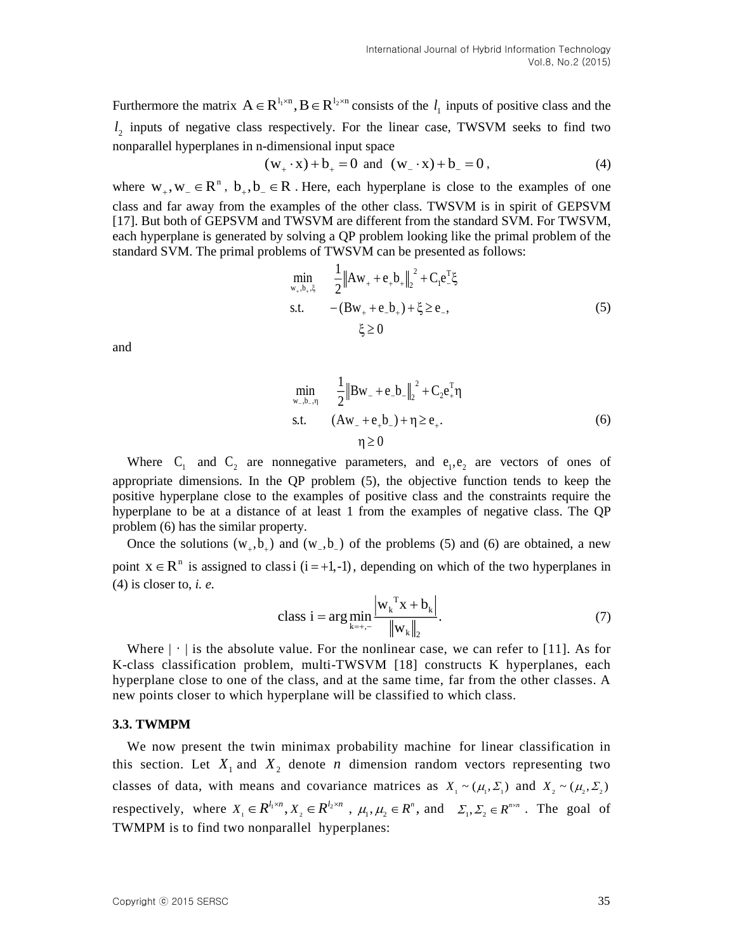Furthermore the matrix  $A \in R^{l_1 \times n}$ ,  $B \in R^{l_2 \times n}$  consists of the  $l_1$  inputs of positive class and the  $l_2$  inputs of negative class respectively. For the linear case, TWSVM seeks to find two nonparallel hyperplanes in n-dimensional input space

$$
(w_+ \cdot x) + b_+ = 0
$$
 and  $(w_- \cdot x) + b_- = 0$ , (4)

where  $W_+, W_- \in \mathbb{R}^n$ ,  $b_+, b_- \in \mathbb{R}$ . Here, each hyperplane is close to the examples of one class and far away from the examples of the other class. TWSVM is in spirit of GEPSVM [17]. But both of GEPSVM and TWSVM are different from the standard SVM. For TWSVM, each hyperplane is generated by solving a QP problem looking like the primal problem of the standard SVM. The primal problems of TWSVM can be presented as follows:

$$
\min_{w_{+},b_{+},\xi} \quad \frac{1}{2} \|Aw_{+} + e_{+}b_{+}\|_{2}^{2} + C_{1}e_{-}^{T}\xi
$$
\ns.t. 
$$
-(Bw_{+} + e_{-}b_{+}) + \xi \ge e_{-},
$$
\n
$$
\xi \ge 0
$$
\n(5)

and

$$
\min_{\substack{w_-, b_-, \eta \\ s.t.}} \quad \frac{1}{2} \|Bw_- + e_- b_-\|_2^2 + C_2 e_+^T \eta
$$
\n
$$
\text{s.t.} \quad (Aw_- + e_+ b_-) + \eta \ge e_+.
$$
\n
$$
\eta \ge 0 \tag{6}
$$

Where  $C_1$  and  $C_2$  are nonnegative parameters, and  $e_1, e_2$  are vectors of ones of appropriate dimensions. In the QP problem (5), the objective function tends to keep the positive hyperplane close to the examples of positive class and the constraints require the hyperplane to be at a distance of at least 1 from the examples of negative class. The QP problem (6) has the similar property.

Once the solutions  $(w_+,b_+)$  and  $(w_-,b_-)$  of the problems (5) and (6) are obtained, a new point  $x \in \mathbb{R}^n$  is assigned to classi  $(i = +1, -1)$ , depending on which of the two hyperplanes in (4) is closer to, *i. e.*

class i = arg min<sub>k=+, -</sub> 
$$
\frac{\left|w_k^T x + b_k\right|}{\left\|w_k\right\|_2}
$$
. (7)

Where  $|\cdot|$  is the absolute value. For the nonlinear case, we can refer to [11]. As for K-class classification problem, multi-TWSVM [18] constructs K hyperplanes, each hyperplane close to one of the class, and at the same time, far from the other classes. A new points closer to which hyperplane will be classified to which class.

#### **3.3. TWMPM**

We now present the twin minimax probability machine for linear classification in this section. Let  $X_1$  and  $X_2$  denote *n* dimension random vectors representing two classes of data, with means and covariance matrices as  $X_1 \sim (\mu_1, \Sigma_1)$  and  $X_2 \sim (\mu_2, \Sigma_2)$ respectively, where  $X_1 \in R^{l_1 \times n}$ ,  $X_2 \in R^{l_2 \times n}$ ,  $\mu_1, \mu_2 \in R^n$ , and  $\Sigma_1, \Sigma_2 \in R^{n \times n}$ . The goal of TWMPM is to find two nonparallel hyperplanes: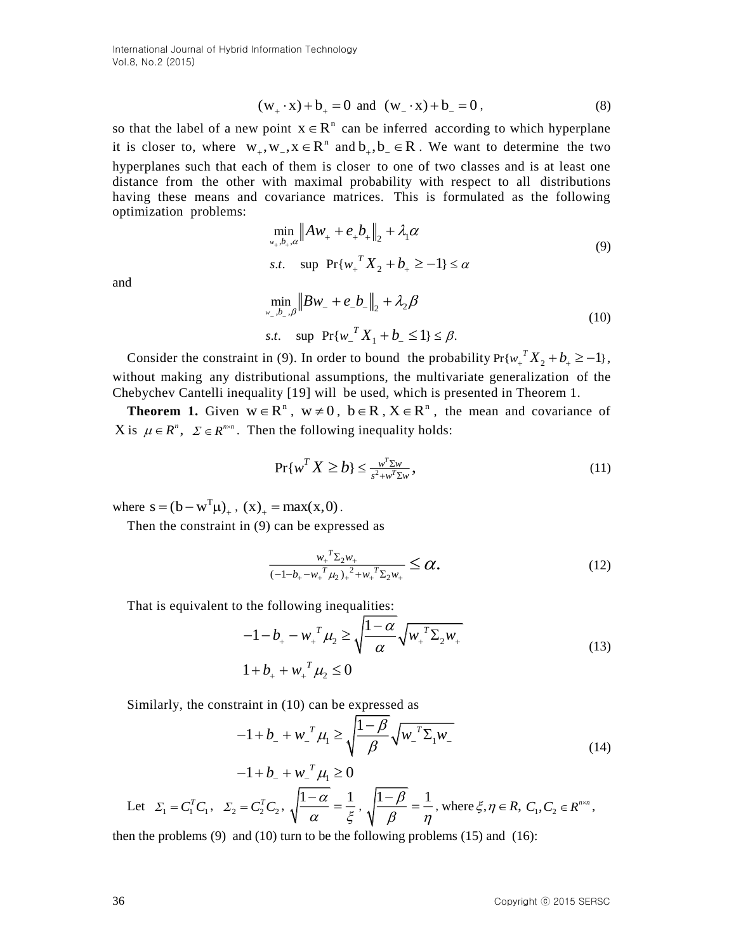International Journal of Hybrid Information Technology Vol.8, No.2 (2015)

$$
(w_+ \cdot x) + b_+ = 0 \text{ and } (w_- \cdot x) + b_- = 0,
$$
 (8)

so that the label of a (w, -x) b, -0 and (w, -x) i b, -0 and (w, -x) i b, -0 and (w, -x) i b, -20<br>
it is closer to, where w, w,  $x \in \mathbb{R}^n$  can be inferred according to which hyperplane<br>the seconds of the action of the so that the label of a new point  $x \in R^n$  can be inferred according to which hyperplane it is closer to, where  $w_+, w_-, x \in R^n$  and  $b_+, b_- \in R$ . We want to determine the two hyperplanes such that each of them is closer to one of two classes and is at least one distance from the other with maximal probability with respect to all distributions having these means and covariance matrices. This is formulated as the following optimization problems:

$$
\min_{w_+,b_+,\alpha} \|Aw_+ + e_+b_+\|_2 + \lambda_1 \alpha
$$
  
s.t.  $\sup \Pr\{w_+^T X_2 + b_+ \ge -1\} \le \alpha$  (9)

and

$$
\min_{w_{-}, b_{-}, \beta} \|Bw_{-} + e_{-}b_{-}\|_{2} + \lambda_{2}\beta
$$
\n*s.t.* sup  $\Pr\{w_{-}^{T}X_{1} + b_{-} \leq 1\} \leq \beta$ . (10)

Consider the constraint in (9). In order to bound the probability  $Pr{w_+}^T X_2 + b_+ \ge -1$ , without making any distributional assumptions, the multivariate generalization of the Chebychev Cantelli inequality [19] will be used, which is presented in Theorem 1.

**Theorem 1.** Given  $w \in R^n$ ,  $w \neq 0$ ,  $b \in R$ ,  $X \in R^n$ , the mean and covariance of X is  $\mu \in R^n$ ,  $\Sigma \in R^{n \times n}$ . Then the following inequality holds:

$$
\Pr\{w^T X \ge b\} \le \frac{w^T \Sigma w}{s^2 + w^T \Sigma w},\tag{11}
$$

where  $s = (b - w^T \mu)_+$ ,  $(x)_+ = max(x, 0)$ .

Then the constraint in (9) can be expressed as

$$
\frac{{w_{+}}^{T} \Sigma_{2} w_{+}}{{\left(-1-b_{+}-w_{+}^{T} \mu_{2}\right)}_{+}^{2}+w_{+}^{T} \Sigma_{2} w_{+}} \leq \alpha.
$$
\n(12)

That is equivalent to the following inequalities:

$$
-1 - b_{+} - w_{+}^{T} \mu_{2} \ge \sqrt{\frac{1 - \alpha}{\alpha} \sqrt{w_{+}^{T} \Sigma_{2} w_{+}}}
$$
  
 
$$
1 + b_{+} + w_{+}^{T} \mu_{2} \le 0
$$
 (13)

Similarly, the constraint in (10) can be expressed as

$$
-1 + b_{-} + w_{-}^{T} \mu_{1} \ge \sqrt{\frac{1 - \beta}{\beta}} \sqrt{w_{-}^{T} \Sigma_{1} w_{-}}
$$
(14)

$$
-1 + b_{-} + w_{-}^{T} \mu_{1} \ge 0
$$
  
Let  $\Sigma_{1} = C_{1}^{T} C_{1}, \ \Sigma_{2} = C_{2}^{T} C_{2}, \ \sqrt{\frac{1 - \alpha}{\alpha}} = \frac{1}{\xi}, \ \sqrt{\frac{1 - \beta}{\beta}} = \frac{1}{\eta}, \text{ where } \xi, \eta \in R, C_{1}, C_{2} \in R^{n \times n},$ 

then the problems  $(9)$  and  $(10)$  turn to be the following problems  $(15)$  and  $(16)$ :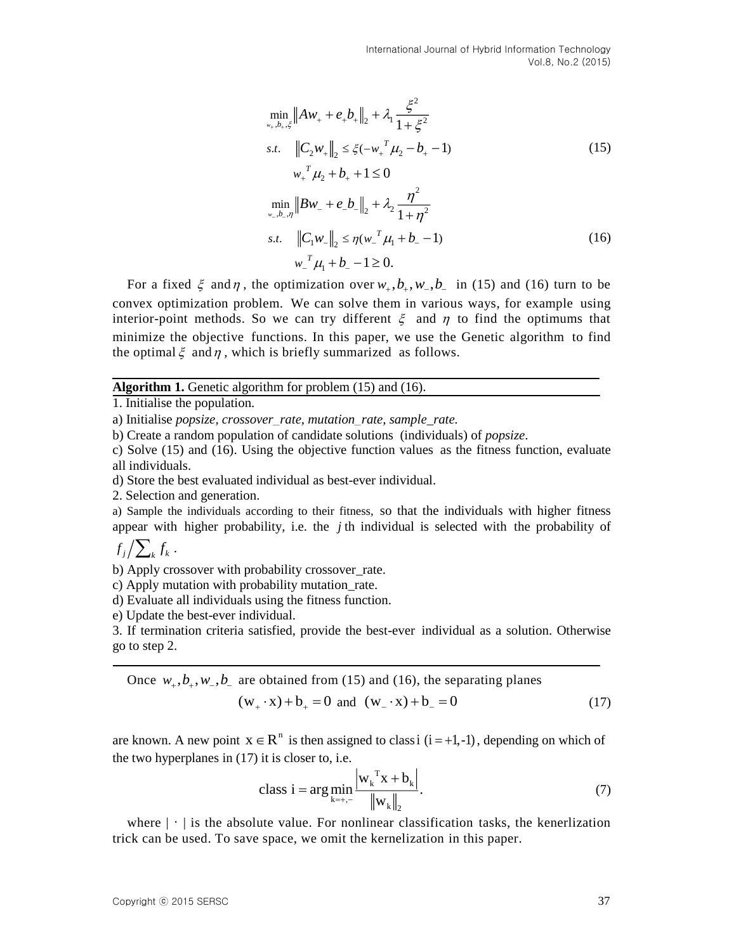International Journal of Hybrid Information Technology Vol.8, No.2 (2015)

$$
\min_{w_+,b_+, \xi} \|Aw_+ + e_+b_+\|_2 + \lambda_1 \frac{\xi^2}{1 + \xi^2}
$$
\n*s.t.*  $\|C_2w_+\|_2 \le \xi(-w_+^T \mu_2 - b_+ - 1)$   
\n $w_+^T \mu_2 + b_+ + 1 \le 0$   
\n
$$
\min_{w_-,b_-, \eta} \|Bw_- + e_-b_-\|_2 + \lambda_2 \frac{\eta^2}{1 + \eta^2}
$$
\n*s.t.*  $\|C_1w_-\|_2 \le \eta(w_-^T \mu_1 + b_- - 1)$  (16)  
\n $w_-^T \mu_1 + b_- - 1 \ge 0$ .

For a fixed  $\xi$  and  $\eta$ , the optimization over  $w_+, b_+, w_-, b_-$  in (15) and (16) turn to be convex optimization problem. We can solve them in various ways, for example using interior-point methods. So we can try different  $\xi$  and  $\eta$  to find the optimums that minimize the objective functions. In this paper, we use the Genetic algorithm to find the optimal  $\xi$  and  $\eta$ , which is briefly summarized as follows.

#### **Algorithm 1.** Genetic algorithm for problem (15) and (16).

c) Solve (15) and (16). Using the objective function values as the fitness function, evaluate all individuals.

d) Store the best evaluated individual as best-ever individual.

2. Selection and generation.

a) Sample the individuals according to their fitness, so that the individuals with higher fitness appear with higher probability, i.e. the  $j$ <sup>th</sup> individual is selected with the probability of

 $f_j / \sum_k f_k$  .

b) Apply crossover with probability crossover rate.

c) Apply mutation with probability mutation\_rate.

d) Evaluate all individuals using the fitness function.

e) Update the best-ever individual.

3. If termination criteria satisfied, provide the best-ever individual as a solution. Otherwise go to step 2.

Once 
$$
w_+, b_+, w_-, b_-
$$
 are obtained from (15) and (16), the separating planes  
\n
$$
(w_+, x) + b_+ = 0 \text{ and } (w_-, x) + b_- = 0
$$
\n(17)

are known. A new point  $x \in R^n$  is then assigned to class i (i = +1,-1), depending on which of the two hyperplanes in (17) it is closer to, i.e.

class i = arg 
$$
\min_{k=+,-}
$$
  $\frac{\left|w_k^T x + b_k\right|}{\left\|w_k\right\|_2}$ . (7)

where  $|\cdot|$  is the absolute value. For nonlinear classification tasks, the kenerlization trick can be used. To save space, we omit the kernelization in this paper.

<sup>1.</sup> Initialise the population.

a) Initialise *popsize, crossover*\_*rate, mutation*\_*rate, sample\_rate.*

b) Create a random population of candidate solutions (individuals) of *popsize*.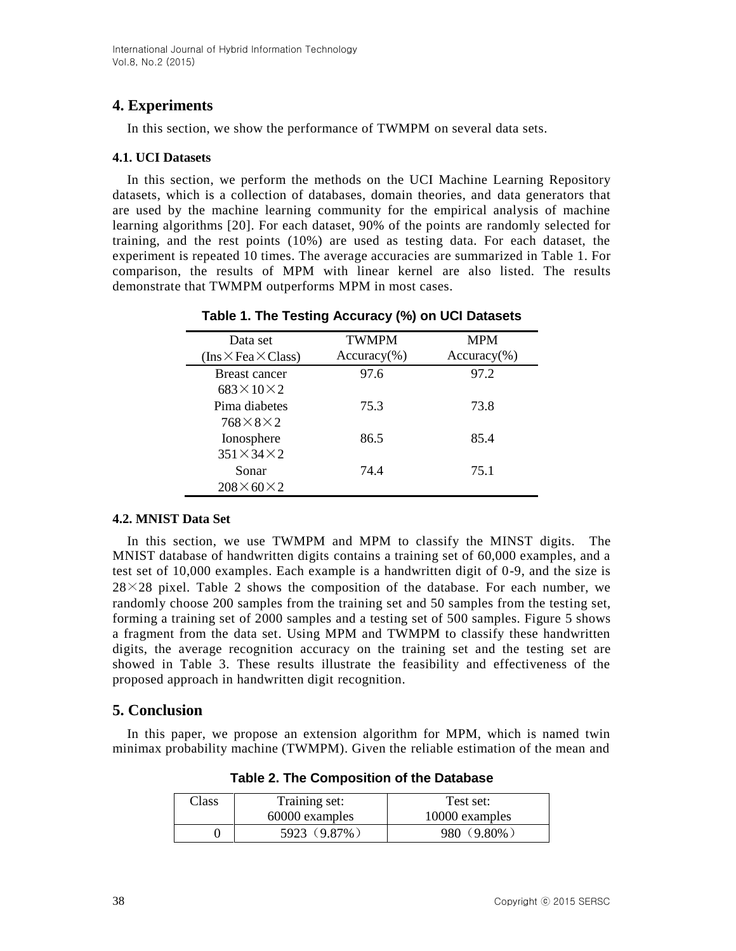# **4. Experiments**

In this section, we show the performance of TWMPM on several data sets.

### **4.1. UCI Datasets**

In this section, we perform the methods on the UCI Machine Learning Repository datasets, which is a collection of databases, domain theories, and data generators that are used by the machine learning community for the empirical analysis of machine learning algorithms [20]. For each dataset, 90% of the points are randomly selected for training, and the rest points (10%) are used as testing data. For each dataset, the experiment is repeated 10 times. The average accuracies are summarized in Table 1. For comparison, the results of MPM with linear kernel are also listed. The results demonstrate that TWMPM outperforms MPM in most cases.

| Data set                        | <b>TWMPM</b>  | <b>MPM</b>    |
|---------------------------------|---------------|---------------|
| $(Ins \times Fea \times Class)$ | $Accuracy$ %) | $Accuracy$ %) |
| <b>Breast cancer</b>            | 97.6          | 97.2          |
| $683\times10\times2$            |               |               |
| Pima diabetes                   | 75.3          | 73.8          |
| $768\times8\times2$             |               |               |
| Ionosphere                      | 86.5          | 85.4          |
| $351\times34\times2$            |               |               |
| Sonar                           | 74.4          | 75.1          |
| $208\times 60\times 2$          |               |               |

### **Table 1. The Testing Accuracy (%) on UCI Datasets**

### **4.2. MNIST Data Set**

In this section, we use TWMPM and MPM to classify the MINST digits. The MNIST database of handwritten digits contains a training set of 60,000 examples, and a test set of 10,000 examples. Each example is a handwritten digit of 0-9, and the size is  $28\times28$  pixel. Table 2 shows the composition of the database. For each number, we randomly choose 200 samples from the training set and 50 samples from the testing set, forming a training set of 2000 samples and a testing set of 500 samples. Figure 5 shows a fragment from the data set. Using MPM and TWMPM to classify these handwritten digits, the average recognition accuracy on the training set and the testing set are showed in Table 3. These results illustrate the feasibility and effectiveness of the proposed approach in handwritten digit recognition.

# **5. Conclusion**

In this paper, we propose an extension algorithm for MPM, which is named twin minimax probability machine (TWMPM). Given the reliable estimation of the mean and

| Class | Training set:  | Test set:             |
|-------|----------------|-----------------------|
|       | 60000 examples | 10000 examples        |
|       | 5923 (9.87%)   | $(9.80\%$<br>$-980$ . |

**Table 2. The Composition of the Database**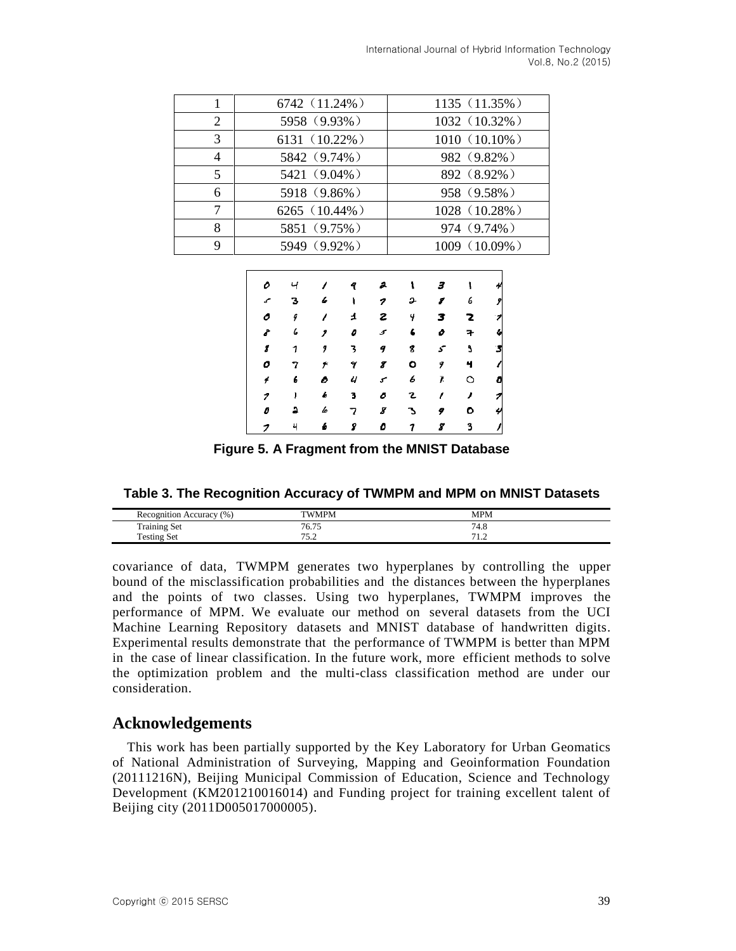|   | 6742 (11.24%) | 1135 (11.35%)   |
|---|---------------|-----------------|
| 2 | 5958 (9.93%)  | 1032 (10.32%)   |
| 3 | 6131 (10.22%) | $1010(10.10\%)$ |
|   | 5842 (9.74%)  | 982 (9.82%)     |
| 5 | 5421 (9.04%)  | 892 (8.92%)     |
| 6 | 5918 (9.86%)  | 958 (9.58%)     |
| 7 | 6265 (10.44%) | 1028 (10.28%)   |
| 8 | 5851 (9.75%)  | 974 (9.74%)     |
| 9 | 5949 (9.92%)  | 1009 (10.09%)   |

| о    | ч | 7  | 9 | a   | ۱ | 3 |   |                          |
|------|---|----|---|-----|---|---|---|--------------------------|
| سمحه | з | 6  | ١ | 7   | s | 8 | 6 | 9                        |
| ο    | 9 | 7  | ᅺ | г   | 4 | 3 | 2 | $\overline{\phantom{a}}$ |
| ď    | 6 | ,  | o | 5   | 6 | o | 7 | 4                        |
| 8    | 1 | 9  | 3 | 9   | 8 | 5 | 5 | 3                        |
| ο    | 7 | بو | γ | 8   | ۰ | 9 | 4 |                          |
| 4    | 6 | o  | ч | سمح | 6 | 7 | O |                          |
| 1    | J | Ь  | 3 | 0   | г | ı | , | ァ                        |
| 0    | а | 6  | 7 | 8   | Ъ | 9 | ۰ | Υ                        |
| 7    | 4 | 6  | 8 | ٥   | 7 | 8 | 3 |                          |

**Figure 5. A Fragment from the MNIST Database**

| Table 3. The Recognition Accuracy of TWMPM and MPM on MNIST Datasets |  |  |
|----------------------------------------------------------------------|--|--|
|----------------------------------------------------------------------|--|--|

| Recognition Accuracy (%) | <b>TWMPM</b>  | <b>MPM</b>      |  |
|--------------------------|---------------|-----------------|--|
| <b>Training Set</b>      | 76.75<br>0.13 | <sup>74.0</sup> |  |
| <b>Testing Set</b>       | <u>.</u>      | .               |  |

covariance of data, TWMPM generates two hyperplanes by controlling the upper bound of the misclassification probabilities and the distances between the hyperplanes and the points of two classes. Using two hyperplanes, TWMPM improves the performance of MPM. We evaluate our method on several datasets from the UCI Machine Learning Repository datasets and MNIST database of handwritten digits. Experimental results demonstrate that the performance of TWMPM is better than MPM in the case of linear classification. In the future work, more efficient methods to solve the optimization problem and the multi-class classification method are under our consideration.

# **Acknowledgements**

This work has been partially supported by the Key Laboratory for Urban Geomatics of National Administration of Surveying, Mapping and Geoinformation Foundation (20111216N), Beijing Municipal Commission of Education, Science and Technology Development (KM201210016014) and Funding project for training excellent talent of Beijing city (2011D005017000005).